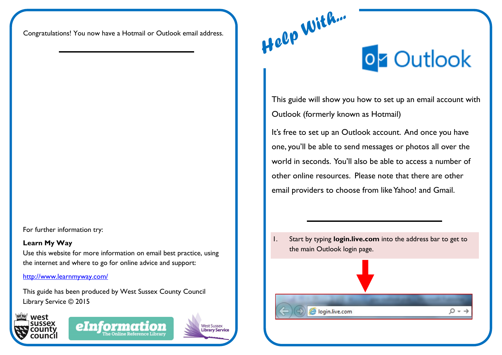Congratulations! You now have a Hotmail or Outlook email address.

For further information try:

## **Learn My Way**

Use this website for more information on email best practice, using the internet and where to go for online advice and support:

<http://www.learnmyway.com/>

This guide has been produced by West Sussex County Council Library Service © 2015







## on Outlook

This guide will show you how to set up an email account with Outlook (formerly known as Hotmail)

It's free to set up an Outlook account. And once you have one, you'll be able to send messages or photos all over the world in seconds. You'll also be able to access a number of other online resources. Please note that there are other email providers to choose from like Yahoo! and Gmail.

1. Start by typing **login.live.com** into the address bar to get to the main Outlook login page.



 $Q + \rightarrow$